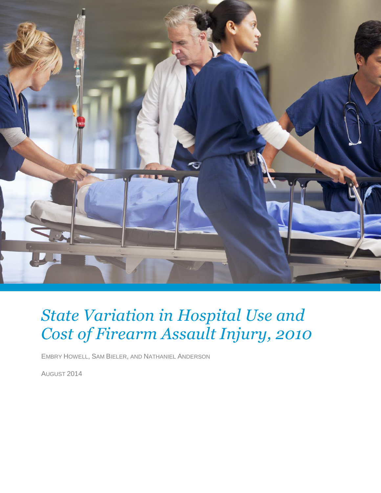

# *State Variation in Hospital Use and Cost of Firearm Assault Injury, 2010*

EMBRY HOWELL, SAM BIELER, AND NATHANIEL ANDERSON

AUGUST 2014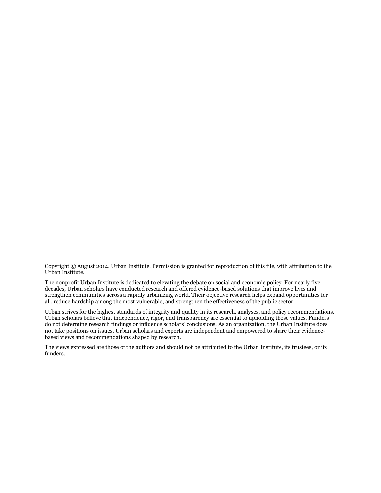Copyright © August 2014. Urban Institute. Permission is granted for reproduction of this file, with attribution to the Urban Institute.

The nonprofit Urban Institute is dedicated to elevating the debate on social and economic policy. For nearly five decades, Urban scholars have conducted research and offered evidence-based solutions that improve lives and strengthen communities across a rapidly urbanizing world. Their objective research helps expand opportunities for all, reduce hardship among the most vulnerable, and strengthen the effectiveness of the public sector.

Urban strives for the highest standards of integrity and quality in its research, analyses, and policy recommendations. Urban scholars believe that independence, rigor, and transparency are essential to upholding those values. Funders do not determine research findings or influence scholars' conclusions. As an organization, the Urban Institute does not take positions on issues. Urban scholars and experts are independent and empowered to share their evidencebased views and recommendations shaped by research.

The views expressed are those of the authors and should not be attributed to the Urban Institute, its trustees, or its funders.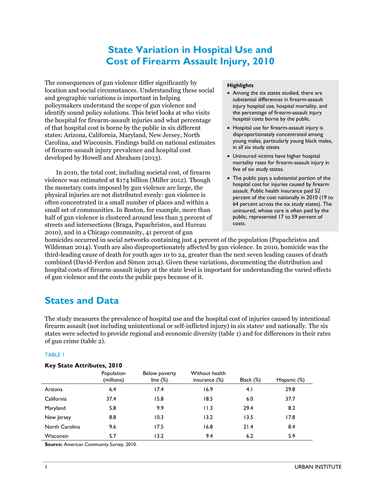# **State Variation in Hospital Use and Cost of Firearm Assault Injury, 2010**

The consequences of gun violence differ significantly by location and social circumstances. Understanding these social and geographic variations is important in helping policymakers understand the scope of gun violence and identify sound policy solutions. This brief looks at who visits the hospital for firearm-assault injuries and what percentage of that hospital cost is borne by the public in six different states: Arizona, California, Maryland, New Jersey, North Carolina, and Wisconsin. Findings build on national estimates of firearm-assault injury prevalence and hospital cost developed by Howell and Abraham (2013).

In 2010, the total cost, including societal cost, of firearm violence was estimated at \$174 billion (Miller 2012). Though the monetary costs imposed by gun violence are large, the physical injuries are not distributed evenly: gun violence is often concentrated in a small number of places and within a small set of communities. In Boston, for example, more than half of gun violence is clustered around less than 3 percent of streets and intersections (Braga, Papachristos, and Hureau 2010), and in a Chicago community, 41 percent of gun

#### **Highlights**

- Among the six states studied, there are substantial differences in firearm-assault injury hospital use, hospital mortality, and the percentage of firearm-assault injury hospital costs borne by the public.
- Hospital use for firearm-assault injury is disproportionately concentrated among young males, particularly young black males, in all six study states.
- Uninsured victims have higher hospital mortality rates for firearm-assault injury in five of six study states.
- The public pays a substantial portion of the hospital cost for injuries caused by firearm assault. Public health insurance paid 52 percent of the cost nationally in 2010 (19 to 64 percent across the six study states). The uninsured, whose care is often paid by the public, represented 17 to 59 percent of costs.

homicides occurred in social networks containing just 4 percent of the population (Papachristos and Wildeman 2014). Youth are also disproportionately affected by gun violence. In 2010, homicide was the third-leading cause of death for youth ages 10 to 24, greater than the next seven leading causes of death combined (David-Ferdon and Simon 2014). Given these variations, documenting the distribution and hospital costs of firearm-assault injury at the state level is important for understanding the varied effects of gun violence and the costs the public pays because of it.

## **States and Data**

The study measures the prevalence of hospital use and the hospital cost of injuries caused by intentional firearm assault (not including unintentional or self-inflicted injury) in six states<sup>1</sup> and nationally. The six states were selected to provide regional and economic diversity (table 1) and for differences in their rates of gun crime (table 2).

#### TABLE 1

#### **Key State Attributes, 2010**

|                  | Population<br>(millions) | Below poverty<br>line $(\%)$ | Without health<br>insurance $(\%)$ | Black (%) | Hispanic (%) |
|------------------|--------------------------|------------------------------|------------------------------------|-----------|--------------|
| Arizona          | 6.4                      | 17.4                         | 16.9                               | 4.1       | 29.8         |
| California       | 37.4                     | 15.8                         | 18.5                               | 6.0       | 37.7         |
| Maryland         | 5.8                      | 9.9                          | 11.3                               | 29.4      | 8.2          |
| New Jersey       | 8.8                      | 10.3                         | 13.2                               | 13.5      | 17.8         |
| North Carolina   | 9.6                      | 17.5                         | 16.8                               | 21.4      | 8.4          |
| <b>Wisconsin</b> | 5.7                      | 13.2                         | 9.4                                | 6.2       | 5.9          |

**Source:** American Community Survey, 2010.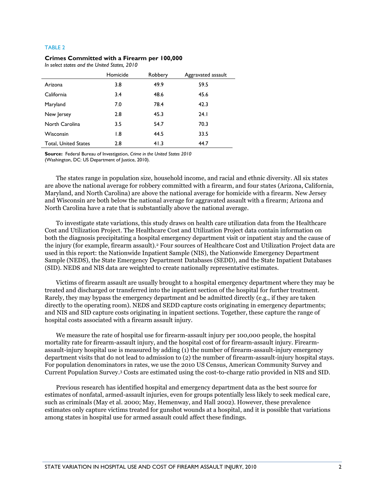#### TABLE 2

#### **Crimes Committed with a Firearm per 100,000**

*In select states and the United States, 2010*

|                             | Homicide         | Robbery | Aggravated assault |
|-----------------------------|------------------|---------|--------------------|
| Arizona                     | 3.8              | 49.9    | 59.5               |
| California                  | 3.4              | 48.6    | 45.6               |
| Maryland                    | 7.0              | 78.4    | 42.3               |
| New Jersey                  | 2.8              | 45.3    | 24.1               |
| North Carolina              | 3.5              | 54.7    | 70.3               |
| Wisconsin                   | $\overline{1.8}$ | 44.5    | 33.5               |
| <b>Total, United States</b> | 2.8              | 41.3    | 44.7               |

**Source:** Federal Bureau of Investigation, *Crime in the United States 2010* (Washington, DC: US Department of Justice, 2010).

The states range in population size, household income, and racial and ethnic diversity. All six states are above the national average for robbery committed with a firearm, and four states (Arizona, California, Maryland, and North Carolina) are above the national average for homicide with a firearm. New Jersey and Wisconsin are both below the national average for aggravated assault with a firearm; Arizona and North Carolina have a rate that is substantially above the national average.

To investigate state variations, this study draws on health care utilization data from the Healthcare Cost and Utilization Project. The Healthcare Cost and Utilization Project data contain information on both the diagnosis precipitating a hospital emergency department visit or inpatient stay and the cause of the injury (for example, firearm assault).<sup>2</sup> Four sources of Healthcare Cost and Utilization Project data are used in this report: the Nationwide Inpatient Sample (NIS), the Nationwide Emergency Department Sample (NEDS), the State Emergency Department Databases (SEDD), and the State Inpatient Databases (SID). NEDS and NIS data are weighted to create nationally representative estimates.

Victims of firearm assault are usually brought to a hospital emergency department where they may be treated and discharged or transferred into the inpatient section of the hospital for further treatment. Rarely, they may bypass the emergency department and be admitted directly (e.g., if they are taken directly to the operating room). NEDS and SEDD capture costs originating in emergency departments; and NIS and SID capture costs originating in inpatient sections. Together, these capture the range of hospital costs associated with a firearm assault injury.

We measure the rate of hospital use for firearm-assault injury per 100,000 people, the hospital mortality rate for firearm-assault injury, and the hospital cost of for firearm-assault injury. Firearmassault-injury hospital use is measured by adding (1) the number of firearm-assault-injury emergency department visits that do not lead to admission to (2) the number of firearm-assault-injury hospital stays. For population denominators in rates, we use the 2010 US Census, American Community Survey and Current Population Survey. <sup>3</sup> Costs are estimated using the cost-to-charge ratio provided in NIS and SID.

Previous research has identified hospital and emergency department data as the best source for estimates of nonfatal, armed-assault injuries, even for groups potentially less likely to seek medical care, such as criminals (May et al. 2000; May, Hemenway, and Hall 2002). However, these prevalence estimates only capture victims treated for gunshot wounds at a hospital, and it is possible that variations among states in hospital use for armed assault could affect these findings.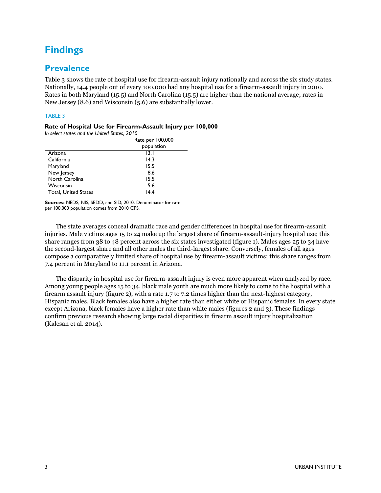# **Findings**

### **Prevalence**

Table 3 shows the rate of hospital use for firearm-assault injury nationally and across the six study states. Nationally, 14.4 people out of every 100,000 had any hospital use for a firearm-assault injury in 2010. Rates in both Maryland (15.5) and North Carolina (15.5) are higher than the national average; rates in New Jersey (8.6) and Wisconsin (5.6) are substantially lower.

#### TABLE 3

#### **Rate of Hospital Use for Firearm-Assault Injury per 100,000**

*In select states and the United States, 2010*

|                             | Rate per 100,000 |  |
|-----------------------------|------------------|--|
|                             | population       |  |
| Arizona                     | 13.1             |  |
| California                  | 14.3             |  |
| Maryland                    | 15.5             |  |
| New Jersey                  | 8.6              |  |
| North Carolina              | 15.5             |  |
| Wisconsin                   | 5.6              |  |
| <b>Total, United States</b> | 14.4             |  |

**Sources:** NEDS, NIS, SEDD, and SID; 2010. Denominator for rate per 100,000 population comes from 2010 CPS.

The state averages conceal dramatic race and gender differences in hospital use for firearm-assault injuries. Male victims ages 15 to 24 make up the largest share of firearm-assault-injury hospital use; this share ranges from 38 to 48 percent across the six states investigated (figure 1). Males ages 25 to 34 have the second-largest share and all other males the third-largest share. Conversely, females of all ages compose a comparatively limited share of hospital use by firearm-assault victims; this share ranges from 7.4 percent in Maryland to 11.1 percent in Arizona.

The disparity in hospital use for firearm-assault injury is even more apparent when analyzed by race. Among young people ages 15 to 34, black male youth are much more likely to come to the hospital with a firearm assault injury (figure 2), with a rate 1.7 to 7.2 times higher than the next-highest category, Hispanic males. Black females also have a higher rate than either white or Hispanic females. In every state except Arizona, black females have a higher rate than white males (figures 2 and 3). These findings confirm previous research showing large racial disparities in firearm assault injury hospitalization (Kalesan et al. 2014).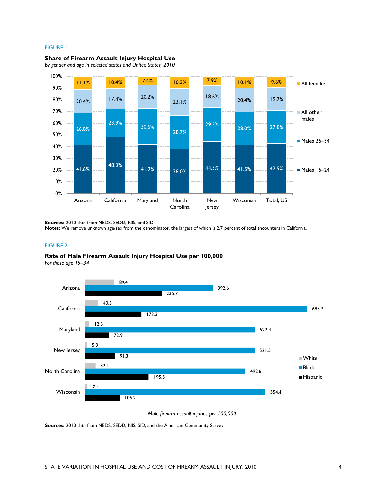#### FIGURE 1



**Share of Firearm Assault Injury Hospital Use** 

*By gender and age in selected states and United States, 2010*

**Sources:** 2010 data from NEDS, SEDD, NIS, and SID.

**Notes:** We remove unknown age/sex from the denominator, the largest of which is 2.7 percent of total encounters in California.

#### FIGURE 2



*For those age 15–34*



*Male firearm assault injuries per 100,000*

**Sources:** 2010 data from NEDS, SEDD, NIS, SID, and the American Community Survey.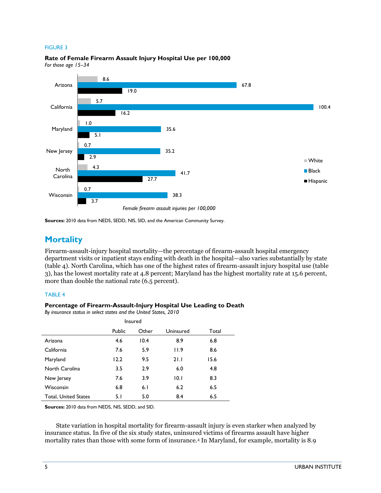#### FIGURE 3



**Rate of Female Firearm Assault Injury Hospital Use per 100,000** *For those age 15–34*

**Sources:** 2010 data from NEDS, SEDD, NIS, SID, and the American Community Survey.

### **Mortality**

Firearm-assault-injury hospital mortality—the percentage of firearm-assault hospital emergency department visits or inpatient stays ending with death in the hospital—also varies substantially by state (table 4). North Carolina, which has one of the highest rates of firearm-assault injury hospital use (table 3), has the lowest mortality rate at 4.8 percent; Maryland has the highest mortality rate at 15.6 percent, more than double the national rate (6.5 percent).

#### TABLE 4

#### **Percentage of Firearm-Assault-Injury Hospital Use Leading to Death**

*By insurance status in select states and the United States, 2010*

| Insured<br>Uninsured<br>Other<br>Total<br>Public |      |      |      |      |
|--------------------------------------------------|------|------|------|------|
| Arizona                                          | 4.6  | 10.4 | 8.9  | 6.8  |
| California                                       | 7.6  | 5.9  | 11.9 | 8.6  |
| Maryland                                         | 12.2 | 9.5  | 21.1 | 15.6 |
| North Carolina                                   | 3.5  | 2.9  | 6.0  | 4.8  |
| New Jersey                                       | 7.6  | 3.9  | 10.1 | 8.3  |
| Wisconsin                                        | 6.8  | 6.1  | 6.2  | 6.5  |
| <b>Total, United States</b>                      | 5.1  | 5.0  | 8.4  | 6.5  |

**Sources:** 2010 data from NEDS, NIS, SEDD, and SID.

State variation in hospital mortality for firearm-assault injury is even starker when analyzed by insurance status. In five of the six study states, uninsured victims of firearms assault have higher mortality rates than those with some form of insurance.<sup>4</sup> In Maryland, for example, mortality is 8.9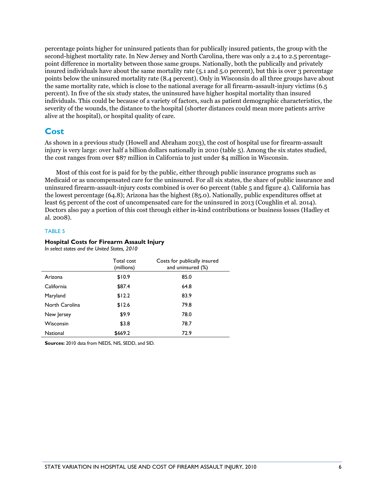percentage points higher for uninsured patients than for publically insured patients, the group with the second-highest mortality rate. In New Jersey and North Carolina, there was only a 2.4 to 2.5 percentagepoint difference in mortality between those same groups. Nationally, both the publically and privately insured individuals have about the same mortality rate (5.1 and 5.0 percent), but this is over 3 percentage points below the uninsured mortality rate (8.4 percent). Only in Wisconsin do all three groups have about the same mortality rate, which is close to the national average for all firearm-assault-injury victims (6.5 percent). In five of the six study states, the uninsured have higher hospital mortality than insured individuals. This could be because of a variety of factors, such as patient demographic characteristics, the severity of the wounds, the distance to the hospital (shorter distances could mean more patients arrive alive at the hospital), or hospital quality of care.

#### **Cost**

As shown in a previous study (Howell and Abraham 2013), the cost of hospital use for firearm-assault injury is very large: over half a billion dollars nationally in 2010 (table 5). Among the six states studied, the cost ranges from over \$87 million in California to just under \$4 million in Wisconsin.

Most of this cost for is paid for by the public, either through public insurance programs such as Medicaid or as uncompensated care for the uninsured. For all six states, the share of public insurance and uninsured firearm-assault-injury costs combined is over 60 percent (table 5 and figure 4). California has the lowest percentage (64.8); Arizona has the highest (85.0). Nationally, public expenditures offset at least 65 percent of the cost of uncompensated care for the uninsured in 2013 (Coughlin et al. 2014). Doctors also pay a portion of this cost through either in-kind contributions or business losses (Hadley et al. 2008).

#### TABLE 5

#### **Hospital Costs for Firearm Assault Injury**

*In select states and the United States, 2010*

|                 | Total cost<br>(millions) | Costs for publically insured<br>and uninsured (%) |
|-----------------|--------------------------|---------------------------------------------------|
| Arizona         | \$10.9                   | 85.0                                              |
| California      | \$87.4                   | 64.8                                              |
| Maryland        | \$12.2                   | 83.9                                              |
| North Carolina  | \$12.6                   | 79.8                                              |
| New Jersey      | \$9.9                    | 78.0                                              |
| Wisconsin       | \$3.8                    | 78.7                                              |
| <b>National</b> | \$669.2                  | 72.9                                              |

**Sources:** 2010 data from NEDS, NIS, SEDD, and SID.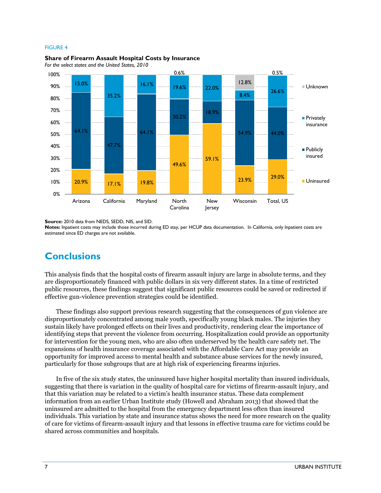#### FIGURE 4





*For the select states and the United States, 2010*

**Source:** 2010 data from NEDS, SEDD, NIS, and SID.

**Notes:** Inpatient costs may include those incurred during ED stay, per HCUP data documentation. In California, only Inpatient costs are estimated since ED charges are not available.

### **Conclusions**

This analysis finds that the hospital costs of firearm assault injury are large in absolute terms, and they are disproportionately financed with public dollars in six very different states. In a time of restricted public resources, these findings suggest that significant public resources could be saved or redirected if effective gun-violence prevention strategies could be identified.

These findings also support previous research suggesting that the consequences of gun violence are disproportionately concentrated among male youth, specifically young black males. The injuries they sustain likely have prolonged effects on their lives and productivity, rendering clear the importance of identifying steps that prevent the violence from occurring. Hospitalization could provide an opportunity for intervention for the young men, who are also often underserved by the health care safety net. The expansions of health insurance coverage associated with the Affordable Care Act may provide an opportunity for improved access to mental health and substance abuse services for the newly insured, particularly for those subgroups that are at high risk of experiencing firearms injuries.

In five of the six study states, the uninsured have higher hospital mortality than insured individuals, suggesting that there is variation in the quality of hospital care for victims of firearm-assault injury, and that this variation may be related to a victim's health insurance status. These data complement information from an earlier Urban Institute study (Howell and Abraham 2013) that showed that the uninsured are admitted to the hospital from the emergency department less often than insured individuals. This variation by state and insurance status shows the need for more research on the quality of care for victims of firearm-assault injury and that lessons in effective trauma care for victims could be shared across communities and hospitals.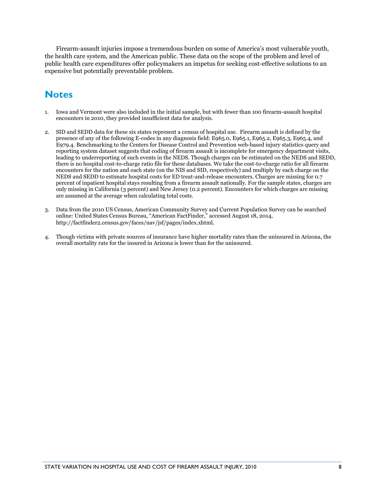Firearm-assault injuries impose a tremendous burden on some of America's most vulnerable youth, the health care system, and the American public. These data on the scope of the problem and level of public health care expenditures offer policymakers an impetus for seeking cost-effective solutions to an expensive but potentially preventable problem.

# **Notes**

- 1. Iowa and Vermont were also included in the initial sample, but with fewer than 100 firearm-assault hospital encounters in 2010, they provided insufficient data for analysis.
- 2. SID and SEDD data for these six states represent a census of hospital use. Firearm assault is defined by the presence of any of the following E-codes in any diagnosis field: E965.0, E965.1, E965.2, E965.3, E965.4, and E979.4. Benchmarking to the Centers for Disease Control and Prevention web-based injury statistics query and reporting system dataset suggests that coding of firearm assault is incomplete for emergency department visits, leading to underreporting of such events in the NEDS. Though charges can be estimated on the NEDS and SEDD, there is no hospital cost-to-charge ratio file for these databases. We take the cost-to-charge ratio for all firearm encounters for the nation and each state (on the NIS and SID, respectively) and multiply by each charge on the NEDS and SEDD to estimate hospital costs for ED treat-and-release encounters. Charges are missing for 0.7 percent of inpatient hospital stays resulting from a firearm assault nationally. For the sample states, charges are only missing in California (3 percent) and New Jersey (0.2 percent). Encounters for which charges are missing are assumed at the average when calculating total costs.
- 3. Data from the 2010 US Census, American Community Survey and Current Population Survey can be searched online: United States Census Bureau, "American FactFinder," accessed August 18, 2014, http://factfinder2.census.gov/faces/nav/jsf/pages/index.xhtml.
- 4. Though victims with private sources of insurance have higher mortality rates than the uninsured in Arizona, the overall mortality rate for the insured in Arizona is lower than for the uninsured.